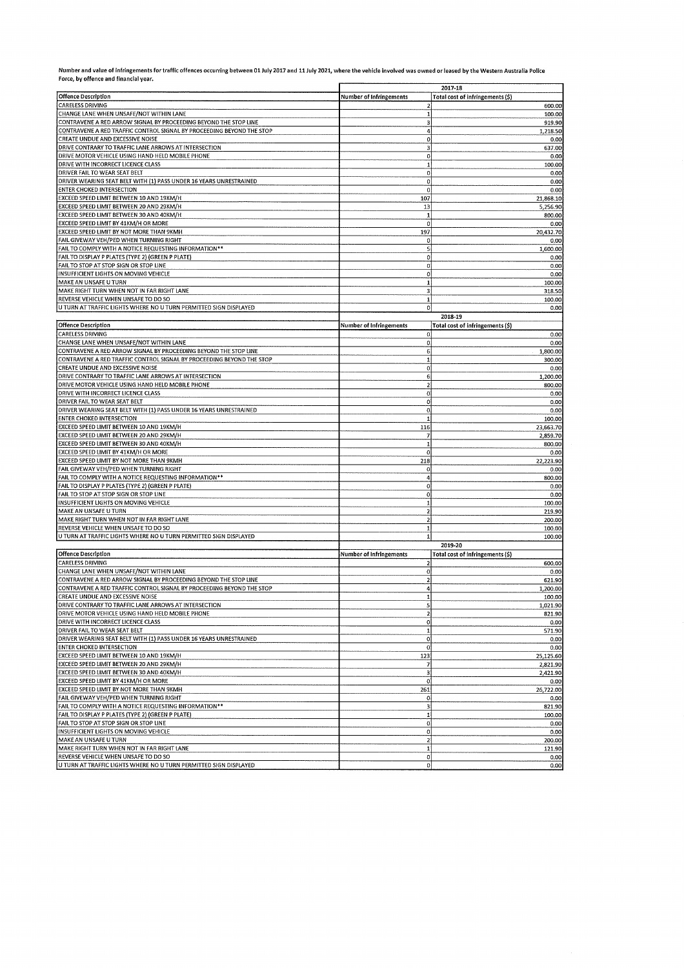Number and value of infringements for traffic offences occurring between 01 July 2017 and 11 July 2021, where the vehicle involved was owned or leased by the Western Australia Police<br>Force, by offence and financial year.

|                                                                                                                                           | 2017-18                                   |                                            |
|-------------------------------------------------------------------------------------------------------------------------------------------|-------------------------------------------|--------------------------------------------|
| <b>Offence Description</b>                                                                                                                | Number of Infringements                   | Total cost of infringements (\$)           |
| <b>CARELESS DRIVING</b>                                                                                                                   |                                           | 600.00                                     |
| CHANGE LANE WHEN UNSAFE/NOT WITHIN LANE                                                                                                   | 1                                         | 100.00                                     |
| CONTRAVENE A RED ARROW SIGNAL BY PROCEEDING BEYOND THE STOP LINE<br>CONTRAVENE A RED TRAFFIC CONTROL SIGNAL BY PROCEEDING BEYOND THE STOP | 3<br>4                                    | 919.90<br>1,218.50                         |
| CREATE UNDUE AND EXCESSIVE NOISE                                                                                                          | $\mathbf{o}$                              | 0.00                                       |
| DRIVE CONTRARY TO TRAFFIC LANE ARROWS AT INTERSECTION                                                                                     | 3                                         | 637.00                                     |
| DRIVE MOTOR VEHICLE USING HAND HELD MOBILE PHONE                                                                                          | $\mathbf 0$                               | 0.00                                       |
| DRIVE WITH INCORRECT LICENCE CLASS                                                                                                        | $\mathbf{1}$                              | 100.00                                     |
| DRIVER FAIL TO WEAR SEAT BELT                                                                                                             | 0                                         | 0.00                                       |
| DRIVER WEARING SEAT BELT WITH (1) PASS UNDER 16 YEARS UNRESTRAINED<br><b>ENTER CHOKED INTERSECTION</b>                                    | 0<br>0                                    | 0.00<br>0.00                               |
| EXCEED SPEED LIMIT BETWEEN 10 AND 19KM/H                                                                                                  | 107                                       | 21,868.10                                  |
| EXCEED SPEED LIMIT BETWEEN 20 AND 29KM/H                                                                                                  | 13                                        | 5,256.90                                   |
| EXCEED SPEED LIMIT BETWEEN 30 AND 40KM/H                                                                                                  | -1                                        | 800.00                                     |
| EXCEED SPEED LIMIT BY 41KM/H OR MORE                                                                                                      | 0                                         | 0.00                                       |
| EXCEED SPEED LIMIT BY NOT MORE THAN 9KMH                                                                                                  | 197                                       | 20,432.70                                  |
| FAIL GIVEWAY VEH/PED WHEN TURNING RIGHT<br>FAIL TO COMPLY WITH A NOTICE REQUESTING INFORMATION**                                          | 0<br>5                                    | 0.00<br>1,600.00                           |
| FAIL TO DISPLAY P PLATES (TYPE 2) (GREEN P PLATE)                                                                                         | 0                                         | 0.00                                       |
| FAIL TO STOP AT STOP SIGN OR STOP LINE                                                                                                    | $\mathbf 0$                               | 0.00                                       |
| INSUFFICIENT LIGHTS ON MOVING VEHICLE                                                                                                     | $\mathbf{0}$                              | 0,00                                       |
| MAKE AN UNSAFE U TURN                                                                                                                     | $\mathbf{1}$                              | 100.00                                     |
| MAKE RIGHT TURN WHEN NOT IN FAR RIGHT LANE                                                                                                | з                                         | 318.50                                     |
| REVERSE VEHICLE WHEN UNSAFE TO DO SO<br>U TURN AT TRAFFIC LIGHTS WHERE NO U TURN PERMITTED SIGN DISPLAYED                                 | $\mathbf 1$<br>$\circ$                    | 100.00<br>0.00                             |
|                                                                                                                                           |                                           | 2018-19                                    |
| <b>Offence Description</b>                                                                                                                | <b>Number of Infringements</b>            | Total cost of infringements (\$)           |
| <b>CARELESS DRIVING</b>                                                                                                                   | $\mathbf{0}$                              | 0.00                                       |
| CHANGE LANE WHEN UNSAFE/NOT WITHIN LANE                                                                                                   | $\mathbf 0$                               | 0.00                                       |
| CONTRAVENE A RED ARROW SIGNAL BY PROCEEDING BEYOND THE STOP LINE                                                                          | 6                                         | 1,800.00                                   |
| CONTRAVENE A RED TRAFFIC CONTROL SIGNAL BY PROCEEDING BEYOND THE STOP                                                                     | $\mathbf{1}$                              | 300.00                                     |
| CREATE UNDUE AND EXCESSIVE NOISE<br>DRIVE CONTRARY TO TRAFFIC LANE ARROWS AT INTERSECTION                                                 | $\mathbf{0}$<br>6                         | 0.00<br>1.200.00                           |
| DRIVE MOTOR VEHICLE USING HAND HELD MOBILE PHONE                                                                                          | $\overline{a}$                            | 800.00                                     |
| DRIVE WITH INCORRECT LICENCE CLASS                                                                                                        | $\mathbf{O}$                              | 0.00                                       |
| DRIVER FAIL TO WEAR SEAT BELT                                                                                                             | $\boldsymbol{0}$                          | 0.00                                       |
| DRIVER WEARING SEAT BELT WITH (1) PASS UNDER 16 YEARS UNRESTRAINED                                                                        | $\mathbf{0}$                              | 0.00                                       |
| <b>ENTER CHOKED INTERSECTION</b>                                                                                                          | $\mathbf{1}$                              | 100.00                                     |
| EXCEED SPEED LIMIT BETWEEN 10 AND 19KM/H<br>EXCEED SPEED LIMIT BETWEEN 20 AND 29KM/H                                                      | 116<br>7                                  | 23,663.70                                  |
| EXCEED SPEED LIMIT BETWEEN 30 AND 40KM/H                                                                                                  | $\mathbf{1}$                              | 2,859.70<br>800.00                         |
| EXCEED SPEED LIMIT BY 41KM/H OR MORE                                                                                                      | $\mathbf{0}$                              | 0.00                                       |
| EXCEED SPEED LIMIT BY NOT MORE THAN 9KMH                                                                                                  | 218                                       | 22,223.90                                  |
| FAIL GIVEWAY VEH/PED WHEN TURNING RIGHT                                                                                                   | $\mathbf{0}$                              | 0.00                                       |
| FAIL TO COMPLY WITH A NOTICE REQUESTING INFORMATION**                                                                                     | $\ddot{a}$                                | 800.00                                     |
| FAIL TO DISPLAY P PLATES (TYPE 2) (GREEN P PLATE)<br>FAIL TO STOP AT STOP SIGN OR STOP LINE                                               | $\mathbf{0}$<br>$\mathbf{0}$              | 0.00<br>0.00                               |
| INSUFFICIENT LIGHTS ON MOVING VEHICLE                                                                                                     | 1                                         | 100.00                                     |
| MAKE AN UNSAFE U TURN                                                                                                                     | $\overline{\mathbf{z}}$                   | 219.90                                     |
| MAKE RIGHT TURN WHEN NOT IN FAR RIGHT LANE                                                                                                | $\overline{2}$                            | 200.00                                     |
| REVERSE VEHICLE WHEN UNSAFE TO DO SO                                                                                                      | $1\overline{ }$                           | 100.00                                     |
| U TURN AT TRAFFIC LIGHTS WHERE NO U TURN PERMITTED SIGN DISPLAYED                                                                         | $\mathbf{1}$                              | 100.00                                     |
|                                                                                                                                           |                                           | 2019-20                                    |
| <b>Offence Description</b><br><b>CARELESS DRIVING</b>                                                                                     | Number of Infringements<br>$\overline{2}$ | Total cost of infringements (\$)<br>600.00 |
| CHANGE LANE WHEN UNSAFE/NOT WITHIN LANE                                                                                                   | $\boldsymbol{0}$                          | 0.00                                       |
| CONTRAVENE A RED ARROW SIGNAL BY PROCEEDING BEYOND THE STOP LINE                                                                          | $\mathbf{2}$                              | 621.90                                     |
| CONTRAVENE A RED TRAFFIC CONTROL SIGNAL BY PROCEEDING BEYOND THE STOP                                                                     | $\boldsymbol{4}$                          | 1,200.00                                   |
| CREATE UNDUE AND EXCESSIVE NOISE                                                                                                          |                                           | 100.00                                     |
| DRIVE CONTRARY TO TRAFFIC LANE ARROWS AT INTERSECTION<br>DRIVE MOTOR VEHICLE USING HAND HELD MOBILE PHONE                                 | 5                                         | 1,021.90                                   |
| DRIVE WITH INCORRECT LICENCE CLASS                                                                                                        | 2<br>$\overline{0}$                       | 821.90<br>0.00                             |
| DRIVER FAIL TO WEAR SEAT BELT                                                                                                             | $\mathbf{1}$                              | 571.90                                     |
| DRIVER WEARING SEAT BELT WITH (1) PASS UNDER 16 YEARS UNRESTRAINED                                                                        | $\overline{0}$                            | 0.00                                       |
| <b>ENTER CHOKED INTERSECTION</b>                                                                                                          | $\bf{0}$                                  | 0.00                                       |
| EXCEED SPEED LIMIT BETWEEN 10 AND 19KM/H                                                                                                  | 123                                       | 25,125.60                                  |
| EXCEED SPEED LIMIT BETWEEN 20 AND 29KM/H<br>EXCEED SPEED LIMIT BETWEEN 30 AND 40KM/H                                                      | 7<br>3                                    | 2,821.90                                   |
| EXCEED SPEED LIMIT BY 41KM/H OR MORE                                                                                                      | $\mathbf 0$                               | 2,421.90<br>0.00                           |
| EXCEED SPEED LIMIT BY NOT MORE THAN 9KMH                                                                                                  | 261                                       | 26,722.00                                  |
| FAIL GIVEWAY VEH/PED WHEN TURNING RIGHT                                                                                                   | $\mathbf 0$                               | 0.00                                       |
| FAIL TO COMPLY WITH A NOTICE REQUESTING INFORMATION**                                                                                     | $\overline{\mathbf{3}}$                   | 821.90                                     |
| FAIL TO DISPLAY P PLATES (TYPE 2) (GREEN P PLATE)                                                                                         | $\mathbf{1}$                              | 100.00                                     |
| FAIL TO STOP AT STOP SIGN OR STOP LINE<br>INSUFFICIENT LIGHTS ON MOVING VEHICLE                                                           | $\mathbf{0}$<br>$\Omega$                  | 0.00                                       |
| MAKE AN UNSAFE U TURN                                                                                                                     | $\mathbf{z}$                              | 0.00<br>200.00                             |
| MAKE RIGHT TURN WHEN NOT IN FAR RIGHT LANE                                                                                                | $\mathbf{1}$                              | 121.90                                     |
| REVERSE VEHICLE WHEN UNSAFE TO DO SO                                                                                                      | 0                                         | 0.00                                       |
| U TURN AT TRAFFIC LIGHTS WHERE NO U TURN PERMITTED SIGN DISPLAYED                                                                         | $\mathbf{0}$                              | 0.00                                       |